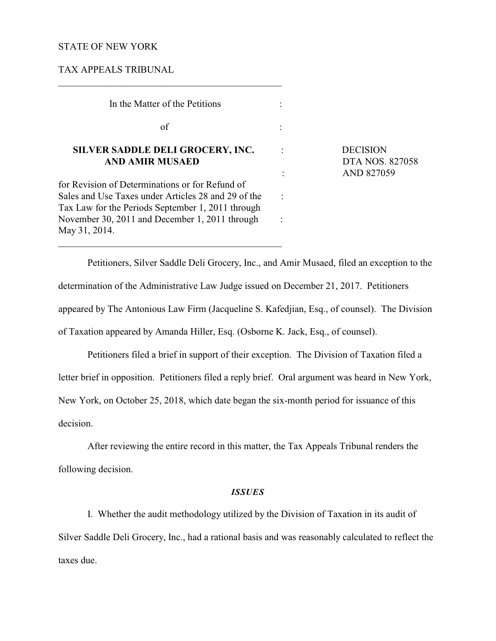### STATE OF NEW YORK

TAX APPEALS TRIBUNAL

 In the Matter of the Petitions :  $\sigma$  of  $\Gamma$  : **SILVER SADDLE DELI GROCERY, INC.** : DECISION **AND AMIR MUSAED DTA NOS. 827058** for Revision of Determinations or for Refund of Sales and Use Taxes under Articles 28 and 29 of the : Tax Law for the Periods September 1, 2011 through November 30, 2011 and December 1, 2011 through : May 31, 2014.

\_\_\_\_\_\_\_\_\_\_\_\_\_\_\_\_\_\_\_\_\_\_\_\_\_\_\_\_\_\_\_\_\_\_\_\_\_\_\_\_\_\_\_\_\_\_

 $\overline{a}$  , and the set of the set of the set of the set of the set of the set of the set of the set of the set of the set of the set of the set of the set of the set of the set of the set of the set of the set of the set

: AND 827059

Petitioners, Silver Saddle Deli Grocery, Inc., and Amir Musaed, filed an exception to the determination of the Administrative Law Judge issued on December 21, 2017. Petitioners appeared by The Antonious Law Firm (Jacqueline S. Kafedjian, Esq., of counsel). The Division of Taxation appeared by Amanda Hiller, Esq. (Osborne K. Jack, Esq., of counsel).

Petitioners filed a brief in support of their exception. The Division of Taxation filed a letter brief in opposition. Petitioners filed a reply brief. Oral argument was heard in New York, New York, on October 25, 2018, which date began the six-month period for issuance of this decision.

After reviewing the entire record in this matter, the Tax Appeals Tribunal renders the following decision.

### *ISSUES*

I. Whether the audit methodology utilized by the Division of Taxation in its audit of Silver Saddle Deli Grocery, Inc., had a rational basis and was reasonably calculated to reflect the taxes due.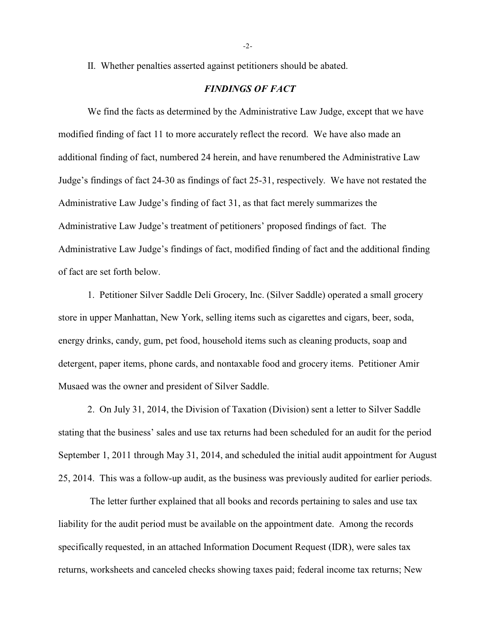II. Whether penalties asserted against petitioners should be abated.

# *FINDINGS OF FACT*

We find the facts as determined by the Administrative Law Judge, except that we have modified finding of fact 11 to more accurately reflect the record. We have also made an additional finding of fact, numbered 24 herein, and have renumbered the Administrative Law Judge's findings of fact 24-30 as findings of fact 25-31, respectively. We have not restated the Administrative Law Judge's finding of fact 31, as that fact merely summarizes the Administrative Law Judge's treatment of petitioners' proposed findings of fact. The Administrative Law Judge's findings of fact, modified finding of fact and the additional finding of fact are set forth below.

1. Petitioner Silver Saddle Deli Grocery, Inc. (Silver Saddle) operated a small grocery store in upper Manhattan, New York, selling items such as cigarettes and cigars, beer, soda, energy drinks, candy, gum, pet food, household items such as cleaning products, soap and detergent, paper items, phone cards, and nontaxable food and grocery items. Petitioner Amir Musaed was the owner and president of Silver Saddle.

2. On July 31, 2014, the Division of Taxation (Division) sent a letter to Silver Saddle stating that the business' sales and use tax returns had been scheduled for an audit for the period September 1, 2011 through May 31, 2014, and scheduled the initial audit appointment for August 25, 2014. This was a follow-up audit, as the business was previously audited for earlier periods.

 The letter further explained that all books and records pertaining to sales and use tax liability for the audit period must be available on the appointment date. Among the records specifically requested, in an attached Information Document Request (IDR), were sales tax returns, worksheets and canceled checks showing taxes paid; federal income tax returns; New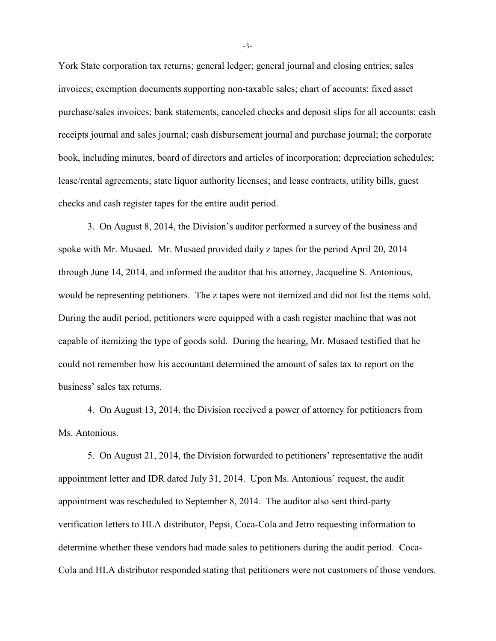York State corporation tax returns; general ledger; general journal and closing entries; sales invoices; exemption documents supporting non-taxable sales; chart of accounts; fixed asset purchase/sales invoices; bank statements, canceled checks and deposit slips for all accounts; cash receipts journal and sales journal; cash disbursement journal and purchase journal; the corporate book, including minutes, board of directors and articles of incorporation; depreciation schedules; lease/rental agreements; state liquor authority licenses; and lease contracts, utility bills, guest checks and cash register tapes for the entire audit period.

3. On August 8, 2014, the Division's auditor performed a survey of the business and spoke with Mr. Musaed. Mr. Musaed provided daily z tapes for the period April 20, 2014 through June 14, 2014, and informed the auditor that his attorney, Jacqueline S. Antonious, would be representing petitioners. The z tapes were not itemized and did not list the items sold. During the audit period, petitioners were equipped with a cash register machine that was not capable of itemizing the type of goods sold. During the hearing, Mr. Musaed testified that he could not remember how his accountant determined the amount of sales tax to report on the business' sales tax returns.

4. On August 13, 2014, the Division received a power of attorney for petitioners from Ms. Antonious.

5. On August 21, 2014, the Division forwarded to petitioners' representative the audit appointment letter and IDR dated July 31, 2014. Upon Ms. Antonious' request, the audit appointment was rescheduled to September 8, 2014. The auditor also sent third-party verification letters to HLA distributor, Pepsi, Coca-Cola and Jetro requesting information to determine whether these vendors had made sales to petitioners during the audit period. Coca-Cola and HLA distributor responded stating that petitioners were not customers of those vendors.

-3-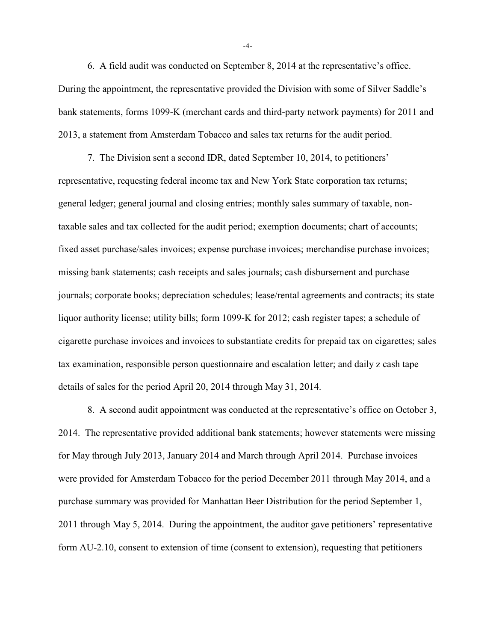6. A field audit was conducted on September 8, 2014 at the representative's office. During the appointment, the representative provided the Division with some of Silver Saddle's bank statements, forms 1099-K (merchant cards and third-party network payments) for 2011 and 2013, a statement from Amsterdam Tobacco and sales tax returns for the audit period.

7. The Division sent a second IDR, dated September 10, 2014, to petitioners' representative, requesting federal income tax and New York State corporation tax returns; general ledger; general journal and closing entries; monthly sales summary of taxable, nontaxable sales and tax collected for the audit period; exemption documents; chart of accounts; fixed asset purchase/sales invoices; expense purchase invoices; merchandise purchase invoices; missing bank statements; cash receipts and sales journals; cash disbursement and purchase journals; corporate books; depreciation schedules; lease/rental agreements and contracts; its state liquor authority license; utility bills; form 1099-K for 2012; cash register tapes; a schedule of cigarette purchase invoices and invoices to substantiate credits for prepaid tax on cigarettes; sales tax examination, responsible person questionnaire and escalation letter; and daily z cash tape details of sales for the period April 20, 2014 through May 31, 2014.

8. A second audit appointment was conducted at the representative's office on October 3, 2014. The representative provided additional bank statements; however statements were missing for May through July 2013, January 2014 and March through April 2014. Purchase invoices were provided for Amsterdam Tobacco for the period December 2011 through May 2014, and a purchase summary was provided for Manhattan Beer Distribution for the period September 1, 2011 through May 5, 2014. During the appointment, the auditor gave petitioners' representative form AU-2.10, consent to extension of time (consent to extension), requesting that petitioners

-4-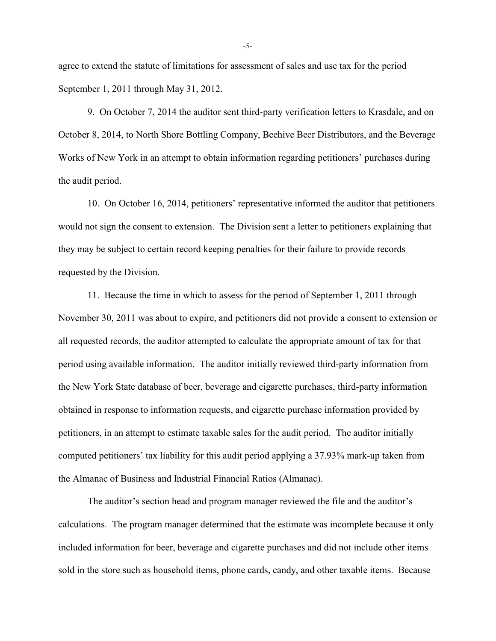agree to extend the statute of limitations for assessment of sales and use tax for the period September 1, 2011 through May 31, 2012.

9. On October 7, 2014 the auditor sent third-party verification letters to Krasdale, and on October 8, 2014, to North Shore Bottling Company, Beehive Beer Distributors, and the Beverage Works of New York in an attempt to obtain information regarding petitioners' purchases during the audit period.

10. On October 16, 2014, petitioners' representative informed the auditor that petitioners would not sign the consent to extension. The Division sent a letter to petitioners explaining that they may be subject to certain record keeping penalties for their failure to provide records requested by the Division.

11. Because the time in which to assess for the period of September 1, 2011 through November 30, 2011 was about to expire, and petitioners did not provide a consent to extension or all requested records, the auditor attempted to calculate the appropriate amount of tax for that period using available information. The auditor initially reviewed third-party information from the New York State database of beer, beverage and cigarette purchases, third-party information obtained in response to information requests, and cigarette purchase information provided by petitioners, in an attempt to estimate taxable sales for the audit period. The auditor initially computed petitioners' tax liability for this audit period applying a 37.93% mark-up taken from the Almanac of Business and Industrial Financial Ratios (Almanac).

The auditor's section head and program manager reviewed the file and the auditor's calculations. The program manager determined that the estimate was incomplete because it only included information for beer, beverage and cigarette purchases and did not include other items sold in the store such as household items, phone cards, candy, and other taxable items. Because

-5-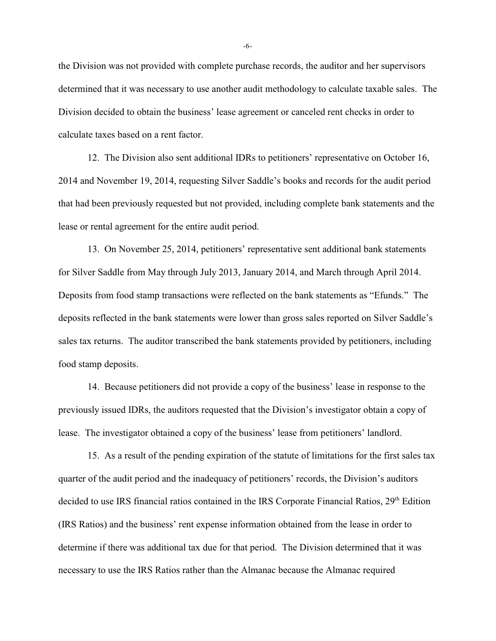the Division was not provided with complete purchase records, the auditor and her supervisors determined that it was necessary to use another audit methodology to calculate taxable sales. The Division decided to obtain the business' lease agreement or canceled rent checks in order to calculate taxes based on a rent factor.

12. The Division also sent additional IDRs to petitioners' representative on October 16, 2014 and November 19, 2014, requesting Silver Saddle's books and records for the audit period that had been previously requested but not provided, including complete bank statements and the lease or rental agreement for the entire audit period.

13. On November 25, 2014, petitioners' representative sent additional bank statements for Silver Saddle from May through July 2013, January 2014, and March through April 2014. Deposits from food stamp transactions were reflected on the bank statements as "Efunds." The deposits reflected in the bank statements were lower than gross sales reported on Silver Saddle's sales tax returns. The auditor transcribed the bank statements provided by petitioners, including food stamp deposits.

14. Because petitioners did not provide a copy of the business' lease in response to the previously issued IDRs, the auditors requested that the Division's investigator obtain a copy of lease. The investigator obtained a copy of the business' lease from petitioners' landlord.

15. As a result of the pending expiration of the statute of limitations for the first sales tax quarter of the audit period and the inadequacy of petitioners' records, the Division's auditors decided to use IRS financial ratios contained in the IRS Corporate Financial Ratios, 29<sup>th</sup> Edition (IRS Ratios) and the business' rent expense information obtained from the lease in order to determine if there was additional tax due for that period. The Division determined that it was necessary to use the IRS Ratios rather than the Almanac because the Almanac required

-6-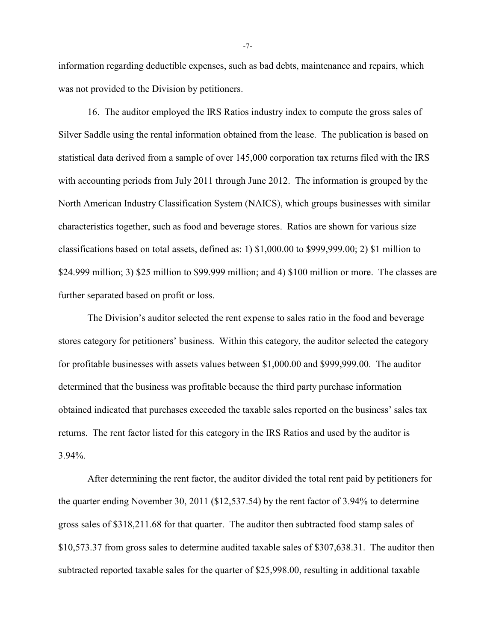information regarding deductible expenses, such as bad debts, maintenance and repairs, which was not provided to the Division by petitioners.

16. The auditor employed the IRS Ratios industry index to compute the gross sales of Silver Saddle using the rental information obtained from the lease. The publication is based on statistical data derived from a sample of over 145,000 corporation tax returns filed with the IRS with accounting periods from July 2011 through June 2012. The information is grouped by the North American Industry Classification System (NAICS), which groups businesses with similar characteristics together, such as food and beverage stores. Ratios are shown for various size classifications based on total assets, defined as: 1) \$1,000.00 to \$999,999.00; 2) \$1 million to \$24.999 million; 3) \$25 million to \$99.999 million; and 4) \$100 million or more. The classes are further separated based on profit or loss.

The Division's auditor selected the rent expense to sales ratio in the food and beverage stores category for petitioners' business. Within this category, the auditor selected the category for profitable businesses with assets values between \$1,000.00 and \$999,999.00. The auditor determined that the business was profitable because the third party purchase information obtained indicated that purchases exceeded the taxable sales reported on the business' sales tax returns. The rent factor listed for this category in the IRS Ratios and used by the auditor is 3.94%.

After determining the rent factor, the auditor divided the total rent paid by petitioners for the quarter ending November 30, 2011 (\$12,537.54) by the rent factor of 3.94% to determine gross sales of \$318,211.68 for that quarter. The auditor then subtracted food stamp sales of \$10,573.37 from gross sales to determine audited taxable sales of \$307,638.31. The auditor then subtracted reported taxable sales for the quarter of \$25,998.00, resulting in additional taxable

-7-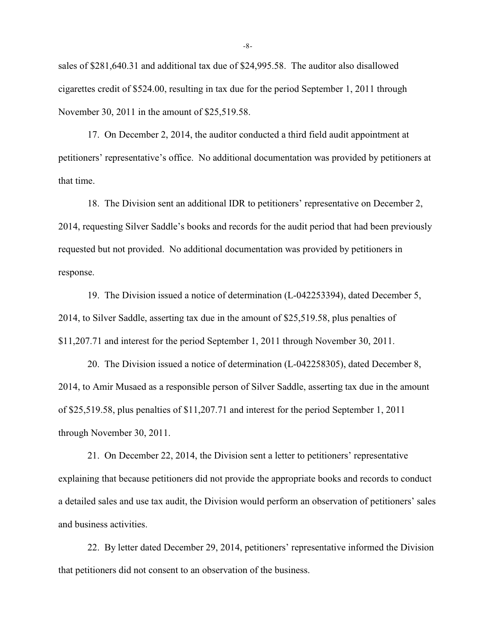sales of \$281,640.31 and additional tax due of \$24,995.58. The auditor also disallowed cigarettes credit of \$524.00, resulting in tax due for the period September 1, 2011 through November 30, 2011 in the amount of \$25,519.58.

17. On December 2, 2014, the auditor conducted a third field audit appointment at petitioners' representative's office. No additional documentation was provided by petitioners at that time.

18. The Division sent an additional IDR to petitioners' representative on December 2, 2014, requesting Silver Saddle's books and records for the audit period that had been previously requested but not provided. No additional documentation was provided by petitioners in response.

19. The Division issued a notice of determination (L-042253394), dated December 5, 2014, to Silver Saddle, asserting tax due in the amount of \$25,519.58, plus penalties of \$11,207.71 and interest for the period September 1, 2011 through November 30, 2011.

20. The Division issued a notice of determination (L-042258305), dated December 8, 2014, to Amir Musaed as a responsible person of Silver Saddle, asserting tax due in the amount of \$25,519.58, plus penalties of \$11,207.71 and interest for the period September 1, 2011 through November 30, 2011.

21. On December 22, 2014, the Division sent a letter to petitioners' representative explaining that because petitioners did not provide the appropriate books and records to conduct a detailed sales and use tax audit, the Division would perform an observation of petitioners' sales and business activities.

22. By letter dated December 29, 2014, petitioners' representative informed the Division that petitioners did not consent to an observation of the business.

-8-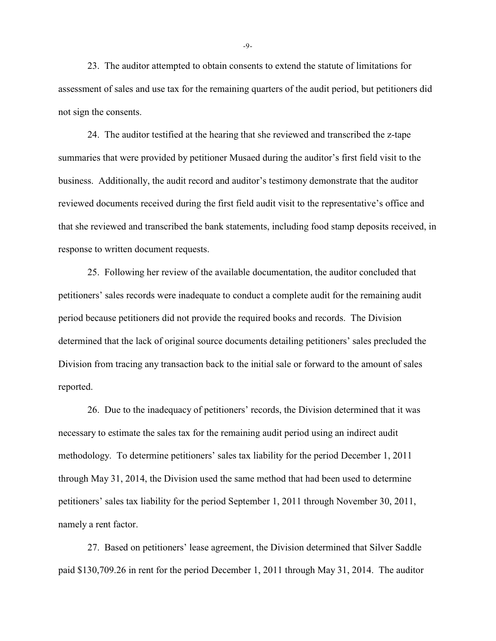23. The auditor attempted to obtain consents to extend the statute of limitations for assessment of sales and use tax for the remaining quarters of the audit period, but petitioners did not sign the consents.

24. The auditor testified at the hearing that she reviewed and transcribed the z-tape summaries that were provided by petitioner Musaed during the auditor's first field visit to the business. Additionally, the audit record and auditor's testimony demonstrate that the auditor reviewed documents received during the first field audit visit to the representative's office and that she reviewed and transcribed the bank statements, including food stamp deposits received, in response to written document requests.

25. Following her review of the available documentation, the auditor concluded that petitioners' sales records were inadequate to conduct a complete audit for the remaining audit period because petitioners did not provide the required books and records. The Division determined that the lack of original source documents detailing petitioners' sales precluded the Division from tracing any transaction back to the initial sale or forward to the amount of sales reported.

26. Due to the inadequacy of petitioners' records, the Division determined that it was necessary to estimate the sales tax for the remaining audit period using an indirect audit methodology. To determine petitioners' sales tax liability for the period December 1, 2011 through May 31, 2014, the Division used the same method that had been used to determine petitioners' sales tax liability for the period September 1, 2011 through November 30, 2011, namely a rent factor.

27. Based on petitioners' lease agreement, the Division determined that Silver Saddle paid \$130,709.26 in rent for the period December 1, 2011 through May 31, 2014. The auditor

-9-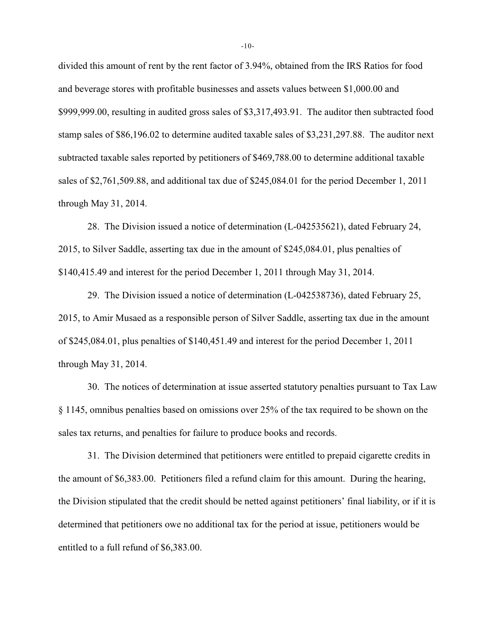divided this amount of rent by the rent factor of 3.94%, obtained from the IRS Ratios for food and beverage stores with profitable businesses and assets values between \$1,000.00 and \$999,999.00, resulting in audited gross sales of \$3,317,493.91. The auditor then subtracted food stamp sales of \$86,196.02 to determine audited taxable sales of \$3,231,297.88. The auditor next subtracted taxable sales reported by petitioners of \$469,788.00 to determine additional taxable sales of \$2,761,509.88, and additional tax due of \$245,084.01 for the period December 1, 2011 through May 31, 2014.

28. The Division issued a notice of determination (L-042535621), dated February 24, 2015, to Silver Saddle, asserting tax due in the amount of \$245,084.01, plus penalties of \$140,415.49 and interest for the period December 1, 2011 through May 31, 2014.

29. The Division issued a notice of determination (L-042538736), dated February 25, 2015, to Amir Musaed as a responsible person of Silver Saddle, asserting tax due in the amount of \$245,084.01, plus penalties of \$140,451.49 and interest for the period December 1, 2011 through May 31, 2014.

30. The notices of determination at issue asserted statutory penalties pursuant to Tax Law § 1145, omnibus penalties based on omissions over 25% of the tax required to be shown on the sales tax returns, and penalties for failure to produce books and records.

31. The Division determined that petitioners were entitled to prepaid cigarette credits in the amount of \$6,383.00. Petitioners filed a refund claim for this amount. During the hearing, the Division stipulated that the credit should be netted against petitioners' final liability, or if it is determined that petitioners owe no additional tax for the period at issue, petitioners would be entitled to a full refund of \$6,383.00.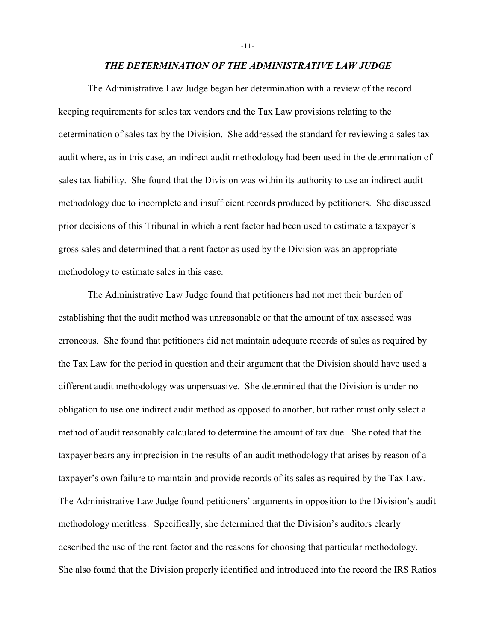#### *THE DETERMINATION OF THE ADMINISTRATIVE LAW JUDGE*

The Administrative Law Judge began her determination with a review of the record keeping requirements for sales tax vendors and the Tax Law provisions relating to the determination of sales tax by the Division. She addressed the standard for reviewing a sales tax audit where, as in this case, an indirect audit methodology had been used in the determination of sales tax liability. She found that the Division was within its authority to use an indirect audit methodology due to incomplete and insufficient records produced by petitioners. She discussed prior decisions of this Tribunal in which a rent factor had been used to estimate a taxpayer's gross sales and determined that a rent factor as used by the Division was an appropriate methodology to estimate sales in this case.

The Administrative Law Judge found that petitioners had not met their burden of establishing that the audit method was unreasonable or that the amount of tax assessed was erroneous. She found that petitioners did not maintain adequate records of sales as required by the Tax Law for the period in question and their argument that the Division should have used a different audit methodology was unpersuasive. She determined that the Division is under no obligation to use one indirect audit method as opposed to another, but rather must only select a method of audit reasonably calculated to determine the amount of tax due. She noted that the taxpayer bears any imprecision in the results of an audit methodology that arises by reason of a taxpayer's own failure to maintain and provide records of its sales as required by the Tax Law. The Administrative Law Judge found petitioners' arguments in opposition to the Division's audit methodology meritless. Specifically, she determined that the Division's auditors clearly described the use of the rent factor and the reasons for choosing that particular methodology. She also found that the Division properly identified and introduced into the record the IRS Ratios

-11-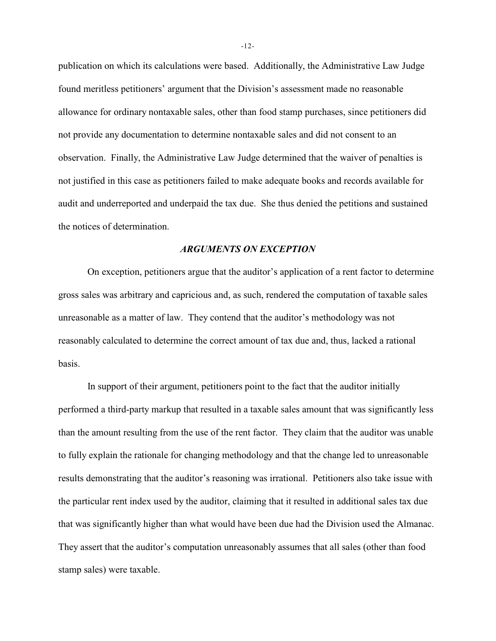publication on which its calculations were based. Additionally, the Administrative Law Judge found meritless petitioners' argument that the Division's assessment made no reasonable allowance for ordinary nontaxable sales, other than food stamp purchases, since petitioners did not provide any documentation to determine nontaxable sales and did not consent to an observation. Finally, the Administrative Law Judge determined that the waiver of penalties is not justified in this case as petitioners failed to make adequate books and records available for audit and underreported and underpaid the tax due. She thus denied the petitions and sustained the notices of determination.

# *ARGUMENTS ON EXCEPTION*

On exception, petitioners argue that the auditor's application of a rent factor to determine gross sales was arbitrary and capricious and, as such, rendered the computation of taxable sales unreasonable as a matter of law. They contend that the auditor's methodology was not reasonably calculated to determine the correct amount of tax due and, thus, lacked a rational basis.

In support of their argument, petitioners point to the fact that the auditor initially performed a third-party markup that resulted in a taxable sales amount that was significantly less than the amount resulting from the use of the rent factor. They claim that the auditor was unable to fully explain the rationale for changing methodology and that the change led to unreasonable results demonstrating that the auditor's reasoning was irrational. Petitioners also take issue with the particular rent index used by the auditor, claiming that it resulted in additional sales tax due that was significantly higher than what would have been due had the Division used the Almanac. They assert that the auditor's computation unreasonably assumes that all sales (other than food stamp sales) were taxable.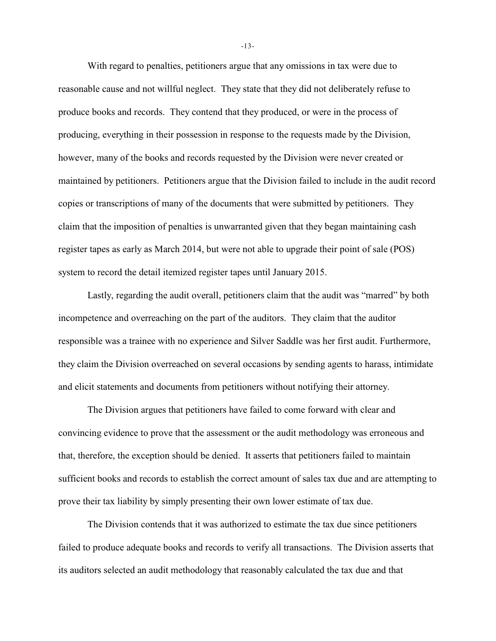With regard to penalties, petitioners argue that any omissions in tax were due to reasonable cause and not willful neglect. They state that they did not deliberately refuse to produce books and records. They contend that they produced, or were in the process of producing, everything in their possession in response to the requests made by the Division, however, many of the books and records requested by the Division were never created or maintained by petitioners. Petitioners argue that the Division failed to include in the audit record copies or transcriptions of many of the documents that were submitted by petitioners. They claim that the imposition of penalties is unwarranted given that they began maintaining cash register tapes as early as March 2014, but were not able to upgrade their point of sale (POS) system to record the detail itemized register tapes until January 2015.

Lastly, regarding the audit overall, petitioners claim that the audit was "marred" by both incompetence and overreaching on the part of the auditors. They claim that the auditor responsible was a trainee with no experience and Silver Saddle was her first audit. Furthermore, they claim the Division overreached on several occasions by sending agents to harass, intimidate and elicit statements and documents from petitioners without notifying their attorney.

The Division argues that petitioners have failed to come forward with clear and convincing evidence to prove that the assessment or the audit methodology was erroneous and that, therefore, the exception should be denied. It asserts that petitioners failed to maintain sufficient books and records to establish the correct amount of sales tax due and are attempting to prove their tax liability by simply presenting their own lower estimate of tax due.

The Division contends that it was authorized to estimate the tax due since petitioners failed to produce adequate books and records to verify all transactions. The Division asserts that its auditors selected an audit methodology that reasonably calculated the tax due and that

-13-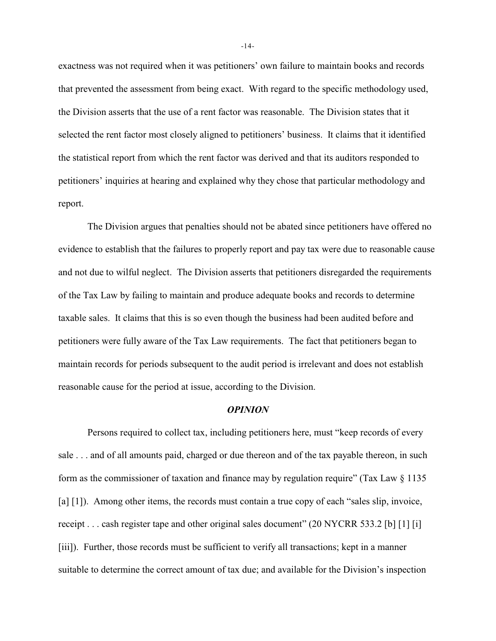exactness was not required when it was petitioners' own failure to maintain books and records that prevented the assessment from being exact. With regard to the specific methodology used, the Division asserts that the use of a rent factor was reasonable. The Division states that it selected the rent factor most closely aligned to petitioners' business. It claims that it identified the statistical report from which the rent factor was derived and that its auditors responded to petitioners' inquiries at hearing and explained why they chose that particular methodology and report.

The Division argues that penalties should not be abated since petitioners have offered no evidence to establish that the failures to properly report and pay tax were due to reasonable cause and not due to wilful neglect. The Division asserts that petitioners disregarded the requirements of the Tax Law by failing to maintain and produce adequate books and records to determine taxable sales. It claims that this is so even though the business had been audited before and petitioners were fully aware of the Tax Law requirements. The fact that petitioners began to maintain records for periods subsequent to the audit period is irrelevant and does not establish reasonable cause for the period at issue, according to the Division.

# *OPINION*

Persons required to collect tax, including petitioners here, must "keep records of every sale . . . and of all amounts paid, charged or due thereon and of the tax payable thereon, in such form as the commissioner of taxation and finance may by regulation require" (Tax Law § 1135 [a] [1]). Among other items, the records must contain a true copy of each "sales slip, invoice, receipt . . . cash register tape and other original sales document" (20 NYCRR 533.2 [b] [1] [i] [iii]). Further, those records must be sufficient to verify all transactions; kept in a manner suitable to determine the correct amount of tax due; and available for the Division's inspection

-14-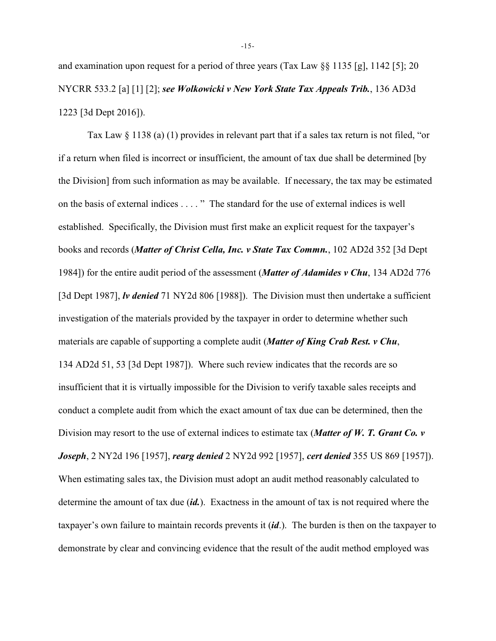and examination upon request for a period of three years (Tax Law §§ 1135 [g], 1142 [5]; 20 NYCRR 533.2 [a] [1] [2]; *see Wolkowicki v New York State Tax Appeals Trib.*, 136 AD3d 1223 [3d Dept 2016]).

Tax Law  $\S 1138$  (a) (1) provides in relevant part that if a sales tax return is not filed, "or if a return when filed is incorrect or insufficient, the amount of tax due shall be determined [by the Division] from such information as may be available. If necessary, the tax may be estimated on the basis of external indices . . . . " The standard for the use of external indices is well established. Specifically, the Division must first make an explicit request for the taxpayer's books and records (*Matter of Christ Cella, Inc. v State Tax Commn.*, 102 AD2d 352 [3d Dept 1984]) for the entire audit period of the assessment (*Matter of Adamides v Chu*, 134 AD2d 776 [3d Dept 1987], *lv denied* 71 NY2d 806 [1988]). The Division must then undertake a sufficient investigation of the materials provided by the taxpayer in order to determine whether such materials are capable of supporting a complete audit (*Matter of King Crab Rest. v Chu*, 134 AD2d 51, 53 [3d Dept 1987]). Where such review indicates that the records are so insufficient that it is virtually impossible for the Division to verify taxable sales receipts and conduct a complete audit from which the exact amount of tax due can be determined, then the Division may resort to the use of external indices to estimate tax (*Matter of W. T. Grant Co. v Joseph*, 2 NY2d 196 [1957], *rearg denied* 2 NY2d 992 [1957], *cert denied* 355 US 869 [1957]). When estimating sales tax, the Division must adopt an audit method reasonably calculated to determine the amount of tax due (*id.*). Exactness in the amount of tax is not required where the taxpayer's own failure to maintain records prevents it (*id*.). The burden is then on the taxpayer to demonstrate by clear and convincing evidence that the result of the audit method employed was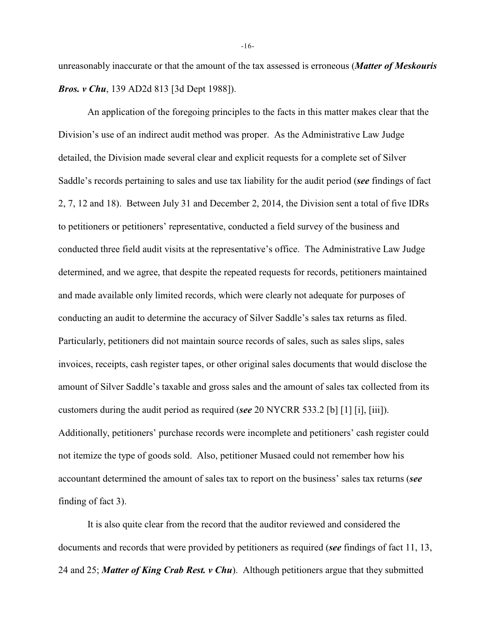unreasonably inaccurate or that the amount of the tax assessed is erroneous (*Matter of Meskouris Bros. v Chu*, 139 AD2d 813 [3d Dept 1988]).

An application of the foregoing principles to the facts in this matter makes clear that the Division's use of an indirect audit method was proper. As the Administrative Law Judge detailed, the Division made several clear and explicit requests for a complete set of Silver Saddle's records pertaining to sales and use tax liability for the audit period (*see* findings of fact 2, 7, 12 and 18). Between July 31 and December 2, 2014, the Division sent a total of five IDRs to petitioners or petitioners' representative, conducted a field survey of the business and conducted three field audit visits at the representative's office. The Administrative Law Judge determined, and we agree, that despite the repeated requests for records, petitioners maintained and made available only limited records, which were clearly not adequate for purposes of conducting an audit to determine the accuracy of Silver Saddle's sales tax returns as filed. Particularly, petitioners did not maintain source records of sales, such as sales slips, sales invoices, receipts, cash register tapes, or other original sales documents that would disclose the amount of Silver Saddle's taxable and gross sales and the amount of sales tax collected from its customers during the audit period as required (*see* 20 NYCRR 533.2 [b] [1] [i], [iii]). Additionally, petitioners' purchase records were incomplete and petitioners' cash register could not itemize the type of goods sold. Also, petitioner Musaed could not remember how his accountant determined the amount of sales tax to report on the business' sales tax returns (*see* finding of fact 3).

It is also quite clear from the record that the auditor reviewed and considered the documents and records that were provided by petitioners as required (*see* findings of fact 11, 13, 24 and 25; *Matter of King Crab Rest. v Chu*). Although petitioners argue that they submitted

-16-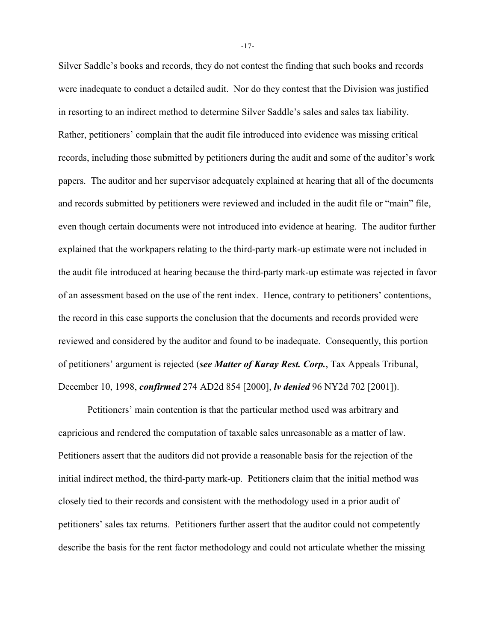Silver Saddle's books and records, they do not contest the finding that such books and records were inadequate to conduct a detailed audit. Nor do they contest that the Division was justified in resorting to an indirect method to determine Silver Saddle's sales and sales tax liability. Rather, petitioners' complain that the audit file introduced into evidence was missing critical records, including those submitted by petitioners during the audit and some of the auditor's work papers. The auditor and her supervisor adequately explained at hearing that all of the documents and records submitted by petitioners were reviewed and included in the audit file or "main" file, even though certain documents were not introduced into evidence at hearing. The auditor further explained that the workpapers relating to the third-party mark-up estimate were not included in the audit file introduced at hearing because the third-party mark-up estimate was rejected in favor of an assessment based on the use of the rent index. Hence, contrary to petitioners' contentions, the record in this case supports the conclusion that the documents and records provided were reviewed and considered by the auditor and found to be inadequate. Consequently, this portion of petitioners' argument is rejected (*see Matter of Karay Rest. Corp.*, Tax Appeals Tribunal, December 10, 1998, *confirmed* 274 AD2d 854 [2000], *lv denied* 96 NY2d 702 [2001]).

Petitioners' main contention is that the particular method used was arbitrary and capricious and rendered the computation of taxable sales unreasonable as a matter of law. Petitioners assert that the auditors did not provide a reasonable basis for the rejection of the initial indirect method, the third-party mark-up. Petitioners claim that the initial method was closely tied to their records and consistent with the methodology used in a prior audit of petitioners' sales tax returns. Petitioners further assert that the auditor could not competently describe the basis for the rent factor methodology and could not articulate whether the missing

-17-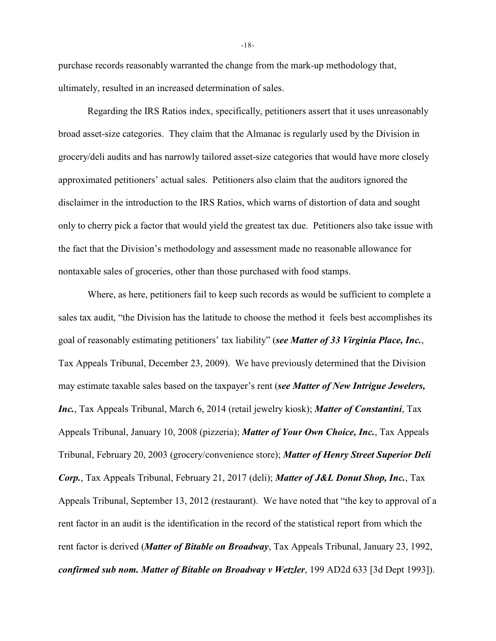purchase records reasonably warranted the change from the mark-up methodology that, ultimately, resulted in an increased determination of sales.

Regarding the IRS Ratios index, specifically, petitioners assert that it uses unreasonably broad asset-size categories. They claim that the Almanac is regularly used by the Division in grocery/deli audits and has narrowly tailored asset-size categories that would have more closely approximated petitioners' actual sales. Petitioners also claim that the auditors ignored the disclaimer in the introduction to the IRS Ratios, which warns of distortion of data and sought only to cherry pick a factor that would yield the greatest tax due. Petitioners also take issue with the fact that the Division's methodology and assessment made no reasonable allowance for nontaxable sales of groceries, other than those purchased with food stamps.

Where, as here, petitioners fail to keep such records as would be sufficient to complete a sales tax audit, "the Division has the latitude to choose the method it feels best accomplishes its goal of reasonably estimating petitioners' tax liability" (*see Matter of 33 Virginia Place, Inc.*, Tax Appeals Tribunal, December 23, 2009). We have previously determined that the Division may estimate taxable sales based on the taxpayer's rent (*see Matter of New Intrigue Jewelers, Inc.*, Tax Appeals Tribunal, March 6, 2014 (retail jewelry kiosk); *Matter of Constantini*, Tax Appeals Tribunal, January 10, 2008 (pizzeria); *Matter of Your Own Choice, Inc.*, Tax Appeals Tribunal, February 20, 2003 (grocery/convenience store); *Matter of Henry Street Superior Deli Corp.*, Tax Appeals Tribunal, February 21, 2017 (deli); *Matter of J&L Donut Shop, Inc.*, Tax Appeals Tribunal, September 13, 2012 (restaurant). We have noted that "the key to approval of a rent factor in an audit is the identification in the record of the statistical report from which the rent factor is derived (*Matter of Bitable on Broadway*, Tax Appeals Tribunal, January 23, 1992, *confirmed sub nom. Matter of Bitable on Broadway v Wetzler*, 199 AD2d 633 [3d Dept 1993]).

-18-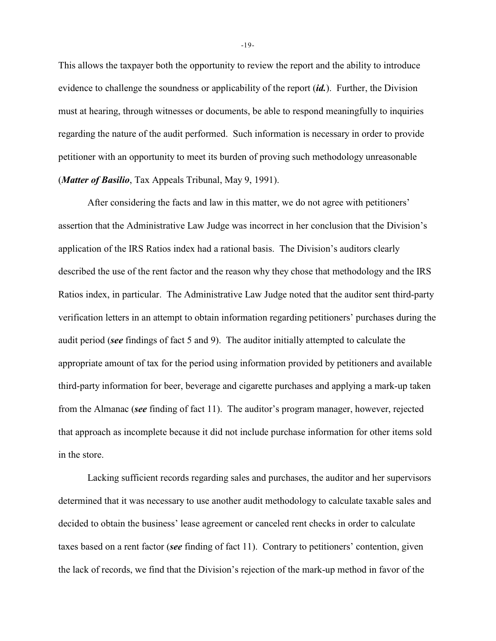This allows the taxpayer both the opportunity to review the report and the ability to introduce evidence to challenge the soundness or applicability of the report (*id.*). Further, the Division must at hearing, through witnesses or documents, be able to respond meaningfully to inquiries regarding the nature of the audit performed. Such information is necessary in order to provide petitioner with an opportunity to meet its burden of proving such methodology unreasonable (*Matter of Basilio*, Tax Appeals Tribunal, May 9, 1991).

After considering the facts and law in this matter, we do not agree with petitioners' assertion that the Administrative Law Judge was incorrect in her conclusion that the Division's application of the IRS Ratios index had a rational basis. The Division's auditors clearly described the use of the rent factor and the reason why they chose that methodology and the IRS Ratios index, in particular. The Administrative Law Judge noted that the auditor sent third-party verification letters in an attempt to obtain information regarding petitioners' purchases during the audit period (*see* findings of fact 5 and 9). The auditor initially attempted to calculate the appropriate amount of tax for the period using information provided by petitioners and available third-party information for beer, beverage and cigarette purchases and applying a mark-up taken from the Almanac (*see* finding of fact 11). The auditor's program manager, however, rejected that approach as incomplete because it did not include purchase information for other items sold in the store.

Lacking sufficient records regarding sales and purchases, the auditor and her supervisors determined that it was necessary to use another audit methodology to calculate taxable sales and decided to obtain the business' lease agreement or canceled rent checks in order to calculate taxes based on a rent factor (*see* finding of fact 11). Contrary to petitioners' contention, given the lack of records, we find that the Division's rejection of the mark-up method in favor of the

-19-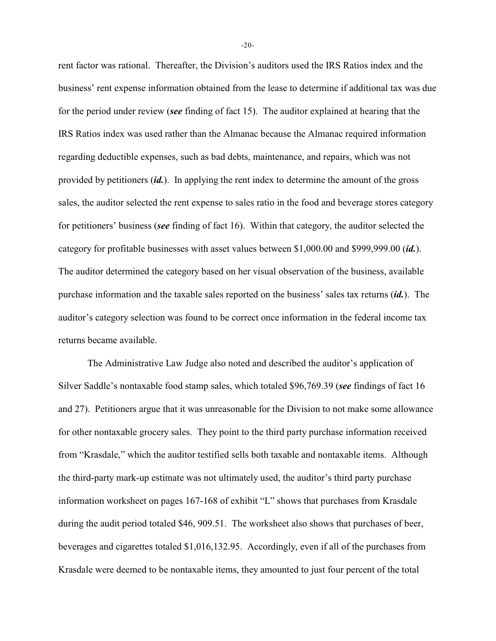rent factor was rational. Thereafter, the Division's auditors used the IRS Ratios index and the business' rent expense information obtained from the lease to determine if additional tax was due for the period under review (*see* finding of fact 15). The auditor explained at hearing that the IRS Ratios index was used rather than the Almanac because the Almanac required information regarding deductible expenses, such as bad debts, maintenance, and repairs, which was not provided by petitioners (*id.*). In applying the rent index to determine the amount of the gross sales, the auditor selected the rent expense to sales ratio in the food and beverage stores category for petitioners' business (*see* finding of fact 16). Within that category, the auditor selected the category for profitable businesses with asset values between \$1,000.00 and \$999,999.00 (*id.*). The auditor determined the category based on her visual observation of the business, available purchase information and the taxable sales reported on the business' sales tax returns (*id.*). The auditor's category selection was found to be correct once information in the federal income tax returns became available.

The Administrative Law Judge also noted and described the auditor's application of Silver Saddle's nontaxable food stamp sales, which totaled \$96,769.39 (*see* findings of fact 16 and 27). Petitioners argue that it was unreasonable for the Division to not make some allowance for other nontaxable grocery sales. They point to the third party purchase information received from "Krasdale," which the auditor testified sells both taxable and nontaxable items. Although the third-party mark-up estimate was not ultimately used, the auditor's third party purchase information worksheet on pages 167-168 of exhibit "L" shows that purchases from Krasdale during the audit period totaled \$46, 909.51. The worksheet also shows that purchases of beer, beverages and cigarettes totaled \$1,016,132.95. Accordingly, even if all of the purchases from Krasdale were deemed to be nontaxable items, they amounted to just four percent of the total

-20-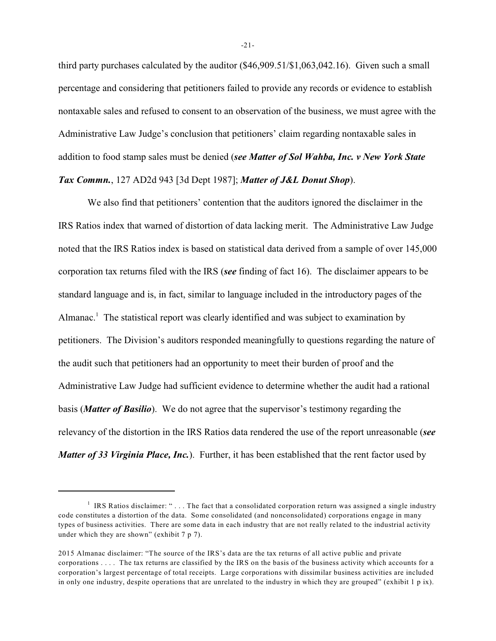third party purchases calculated by the auditor (\$46,909.51/\$1,063,042.16). Given such a small percentage and considering that petitioners failed to provide any records or evidence to establish nontaxable sales and refused to consent to an observation of the business, we must agree with the Administrative Law Judge's conclusion that petitioners' claim regarding nontaxable sales in addition to food stamp sales must be denied (*see Matter of Sol Wahba, Inc. v New York State Tax Commn.*, 127 AD2d 943 [3d Dept 1987]; *Matter of J&L Donut Shop*).

We also find that petitioners' contention that the auditors ignored the disclaimer in the IRS Ratios index that warned of distortion of data lacking merit. The Administrative Law Judge noted that the IRS Ratios index is based on statistical data derived from a sample of over 145,000 corporation tax returns filed with the IRS (*see* finding of fact 16). The disclaimer appears to be standard language and is, in fact, similar to language included in the introductory pages of the Almanac.<sup>1</sup> The statistical report was clearly identified and was subject to examination by petitioners. The Division's auditors responded meaningfully to questions regarding the nature of the audit such that petitioners had an opportunity to meet their burden of proof and the Administrative Law Judge had sufficient evidence to determine whether the audit had a rational basis (*Matter of Basilio*). We do not agree that the supervisor's testimony regarding the relevancy of the distortion in the IRS Ratios data rendered the use of the report unreasonable (*see Matter of 33 Virginia Place, Inc.*). Further, it has been established that the rent factor used by

-21-

<sup>&</sup>lt;sup>1</sup> IRS Ratios disclaimer: "... The fact that a consolidated corporation return was assigned a single industry code constitutes a distortion of the data. Some consolidated (and nonconsolidated) corporations engage in many types of business activities. There are some data in each industry that are not really related to the industrial activity under which they are shown" (exhibit 7 p 7).

<sup>2015</sup> Almanac disclaimer: "The source of the IRS's data are the tax returns of all active public and private corporations . . . . The tax returns are classified by the IRS on the basis of the business activity which accounts for a corporation's largest percentage of total receipts. Large corporations with dissimilar business activities are included in only one industry, despite operations that are unrelated to the industry in which they are grouped" (exhibit 1 p ix).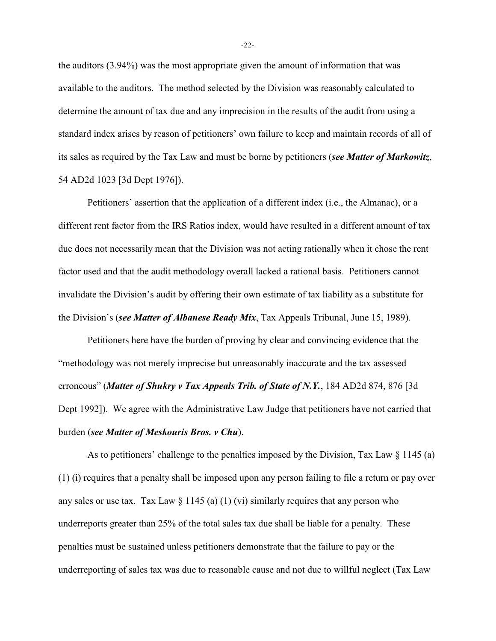the auditors (3.94%) was the most appropriate given the amount of information that was available to the auditors. The method selected by the Division was reasonably calculated to determine the amount of tax due and any imprecision in the results of the audit from using a standard index arises by reason of petitioners' own failure to keep and maintain records of all of its sales as required by the Tax Law and must be borne by petitioners (*see Matter of Markowitz*, 54 AD2d 1023 [3d Dept 1976]).

Petitioners' assertion that the application of a different index (i.e., the Almanac), or a different rent factor from the IRS Ratios index, would have resulted in a different amount of tax due does not necessarily mean that the Division was not acting rationally when it chose the rent factor used and that the audit methodology overall lacked a rational basis. Petitioners cannot invalidate the Division's audit by offering their own estimate of tax liability as a substitute for the Division's (*see Matter of Albanese Ready Mix*, Tax Appeals Tribunal, June 15, 1989).

Petitioners here have the burden of proving by clear and convincing evidence that the "methodology was not merely imprecise but unreasonably inaccurate and the tax assessed erroneous" (*Matter of Shukry v Tax Appeals Trib. of State of N.Y.*, 184 AD2d 874, 876 [3d Dept 1992]). We agree with the Administrative Law Judge that petitioners have not carried that burden (*see Matter of Meskouris Bros. v Chu*).

As to petitioners' challenge to the penalties imposed by the Division, Tax Law  $\S$  1145 (a) (1) (i) requires that a penalty shall be imposed upon any person failing to file a return or pay over any sales or use tax. Tax Law  $\S 1145$  (a) (1) (vi) similarly requires that any person who underreports greater than 25% of the total sales tax due shall be liable for a penalty. These penalties must be sustained unless petitioners demonstrate that the failure to pay or the underreporting of sales tax was due to reasonable cause and not due to willful neglect (Tax Law

-22-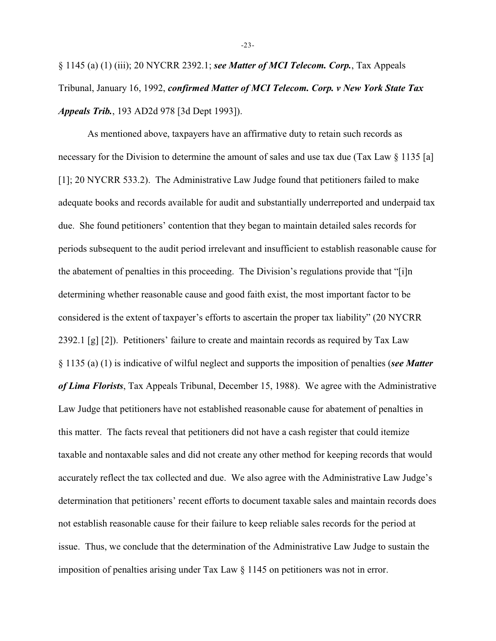§ 1145 (a) (1) (iii); 20 NYCRR 2392.1; *see Matter of MCI Telecom. Corp.*, Tax Appeals Tribunal, January 16, 1992, *confirmed Matter of MCI Telecom. Corp. v New York State Tax Appeals Trib.*, 193 AD2d 978 [3d Dept 1993]).

As mentioned above, taxpayers have an affirmative duty to retain such records as necessary for the Division to determine the amount of sales and use tax due (Tax Law § 1135 [a] [1]; 20 NYCRR 533.2). The Administrative Law Judge found that petitioners failed to make adequate books and records available for audit and substantially underreported and underpaid tax due. She found petitioners' contention that they began to maintain detailed sales records for periods subsequent to the audit period irrelevant and insufficient to establish reasonable cause for the abatement of penalties in this proceeding. The Division's regulations provide that "[i]n determining whether reasonable cause and good faith exist, the most important factor to be considered is the extent of taxpayer's efforts to ascertain the proper tax liability" (20 NYCRR 2392.1 [g] [2]). Petitioners' failure to create and maintain records as required by Tax Law § 1135 (a) (1) is indicative of wilful neglect and supports the imposition of penalties (*see Matter of Lima Florists*, Tax Appeals Tribunal, December 15, 1988). We agree with the Administrative Law Judge that petitioners have not established reasonable cause for abatement of penalties in this matter. The facts reveal that petitioners did not have a cash register that could itemize taxable and nontaxable sales and did not create any other method for keeping records that would accurately reflect the tax collected and due. We also agree with the Administrative Law Judge's determination that petitioners' recent efforts to document taxable sales and maintain records does not establish reasonable cause for their failure to keep reliable sales records for the period at issue. Thus, we conclude that the determination of the Administrative Law Judge to sustain the imposition of penalties arising under Tax Law § 1145 on petitioners was not in error.

-23-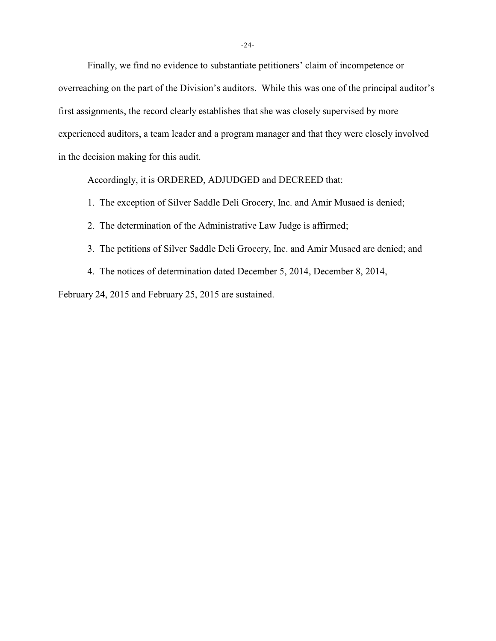Finally, we find no evidence to substantiate petitioners' claim of incompetence or overreaching on the part of the Division's auditors. While this was one of the principal auditor's first assignments, the record clearly establishes that she was closely supervised by more experienced auditors, a team leader and a program manager and that they were closely involved in the decision making for this audit.

Accordingly, it is ORDERED, ADJUDGED and DECREED that:

- 1. The exception of Silver Saddle Deli Grocery, Inc. and Amir Musaed is denied;
- 2. The determination of the Administrative Law Judge is affirmed;
- 3. The petitions of Silver Saddle Deli Grocery, Inc. and Amir Musaed are denied; and
- 4. The notices of determination dated December 5, 2014, December 8, 2014,

February 24, 2015 and February 25, 2015 are sustained.